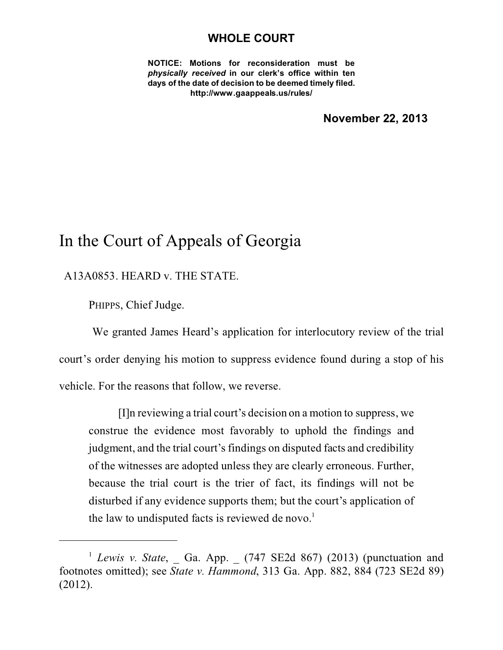## **WHOLE COURT**

**NOTICE: Motions for reconsideration must be** *physically received* **in our clerk's office within ten days of the date of decision to be deemed timely filed. http://www.gaappeals.us/rules/**

**November 22, 2013**

## In the Court of Appeals of Georgia

A13A0853. HEARD v. THE STATE.

PHIPPS, Chief Judge.

 We granted James Heard's application for interlocutory review of the trial court's order denying his motion to suppress evidence found during a stop of his vehicle. For the reasons that follow, we reverse.

[I]n reviewing a trial court's decision on a motion to suppress, we construe the evidence most favorably to uphold the findings and judgment, and the trial court's findings on disputed facts and credibility of the witnesses are adopted unless they are clearly erroneous. Further, because the trial court is the trier of fact, its findings will not be disturbed if any evidence supports them; but the court's application of the law to undisputed facts is reviewed de novo. $<sup>1</sup>$ </sup>

<sup>&</sup>lt;sup>1</sup> *Lewis v. State*, Ga. App. (747 SE2d 867) (2013) (punctuation and footnotes omitted); see *State v. Hammond*, 313 Ga. App. 882, 884 (723 SE2d 89) (2012).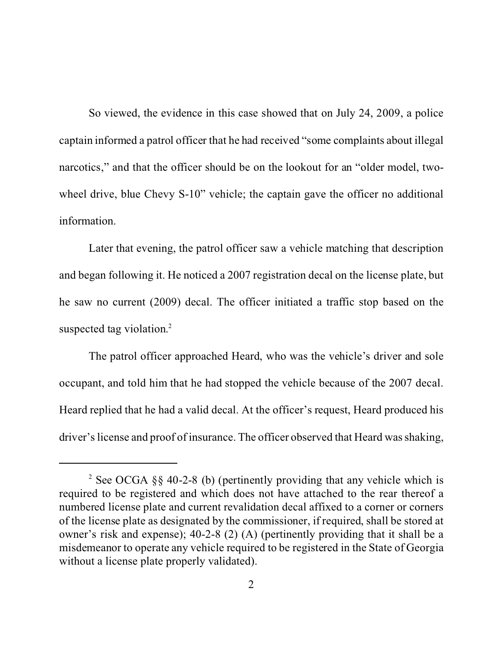So viewed, the evidence in this case showed that on July 24, 2009, a police captain informed a patrol officer that he had received "some complaints about illegal narcotics," and that the officer should be on the lookout for an "older model, twowheel drive, blue Chevy S-10" vehicle; the captain gave the officer no additional information.

Later that evening, the patrol officer saw a vehicle matching that description and began following it. He noticed a 2007 registration decal on the license plate, but he saw no current (2009) decal. The officer initiated a traffic stop based on the suspected tag violation.<sup>2</sup>

The patrol officer approached Heard, who was the vehicle's driver and sole occupant, and told him that he had stopped the vehicle because of the 2007 decal. Heard replied that he had a valid decal. At the officer's request, Heard produced his driver's license and proof of insurance. The officer observed that Heard was shaking,

<sup>&</sup>lt;sup>2</sup> See OCGA §§ 40-2-8 (b) (pertinently providing that any vehicle which is required to be registered and which does not have attached to the rear thereof a numbered license plate and current revalidation decal affixed to a corner or corners of the license plate as designated by the commissioner, if required, shall be stored at owner's risk and expense); 40-2-8 (2) (A) (pertinently providing that it shall be a misdemeanor to operate any vehicle required to be registered in the State of Georgia without a license plate properly validated).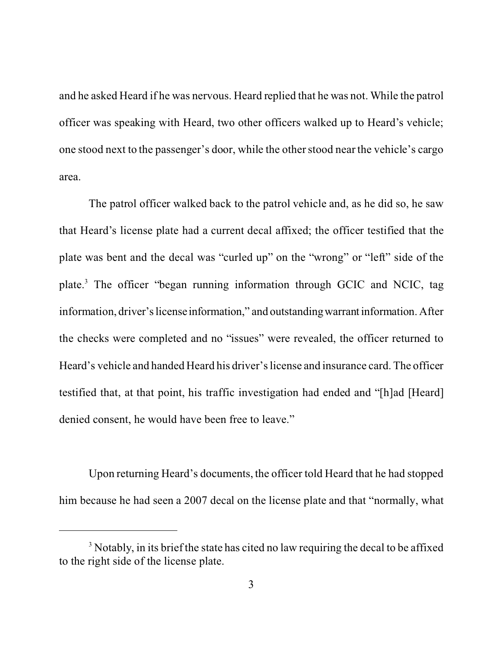and he asked Heard if he was nervous. Heard replied that he was not. While the patrol officer was speaking with Heard, two other officers walked up to Heard's vehicle; one stood next to the passenger's door, while the other stood near the vehicle's cargo area.

The patrol officer walked back to the patrol vehicle and, as he did so, he saw that Heard's license plate had a current decal affixed; the officer testified that the plate was bent and the decal was "curled up" on the "wrong" or "left" side of the plate.<sup>3</sup> The officer "began running information through GCIC and NCIC, tag information, driver's license information," and outstanding warrant information. After the checks were completed and no "issues" were revealed, the officer returned to Heard's vehicle and handed Heard his driver's license and insurance card. The officer testified that, at that point, his traffic investigation had ended and "[h]ad [Heard] denied consent, he would have been free to leave."

Upon returning Heard's documents, the officer told Heard that he had stopped him because he had seen a 2007 decal on the license plate and that "normally, what

 $3$  Notably, in its brief the state has cited no law requiring the decal to be affixed to the right side of the license plate.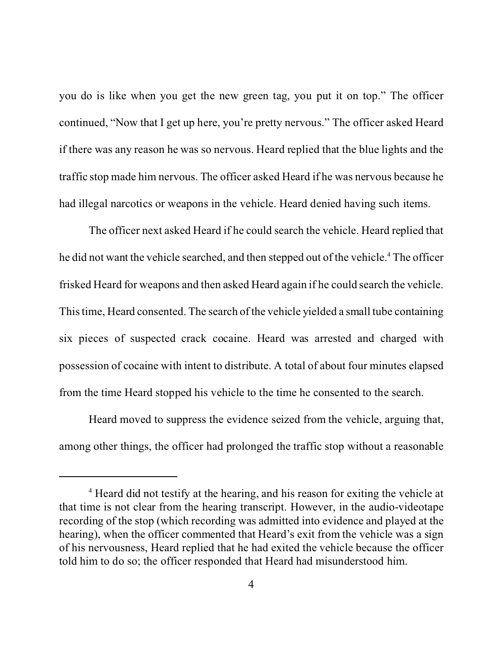you do is like when you get the new green tag, you put it on top." The officer continued, "Now that I get up here, you're pretty nervous." The officer asked Heard if there was any reason he was so nervous. Heard replied that the blue lights and the traffic stop made him nervous. The officer asked Heard if he was nervous because he had illegal narcotics or weapons in the vehicle. Heard denied having such items.

The officer next asked Heard if he could search the vehicle. Heard replied that he did not want the vehicle searched, and then stepped out of the vehicle.<sup>4</sup> The officer frisked Heard for weapons and then asked Heard again if he could search the vehicle. This time, Heard consented. The search of the vehicle yielded a small tube containing six pieces of suspected crack cocaine. Heard was arrested and charged with possession of cocaine with intent to distribute. A total of about four minutes elapsed from the time Heard stopped his vehicle to the time he consented to the search.

Heard moved to suppress the evidence seized from the vehicle, arguing that, among other things, the officer had prolonged the traffic stop without a reasonable

<sup>&</sup>lt;sup>4</sup> Heard did not testify at the hearing, and his reason for exiting the vehicle at that time is not clear from the hearing transcript. However, in the audio-videotape recording of the stop (which recording was admitted into evidence and played at the hearing), when the officer commented that Heard's exit from the vehicle was a sign of his nervousness, Heard replied that he had exited the vehicle because the officer told him to do so; the officer responded that Heard had misunderstood him.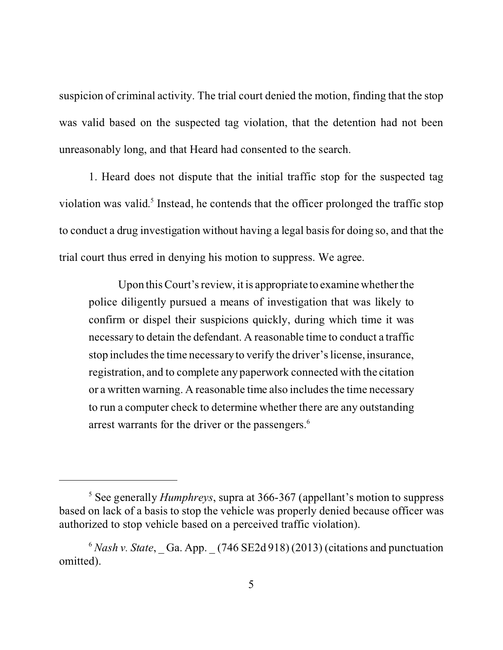suspicion of criminal activity. The trial court denied the motion, finding that the stop was valid based on the suspected tag violation, that the detention had not been unreasonably long, and that Heard had consented to the search.

1. Heard does not dispute that the initial traffic stop for the suspected tag violation was valid. 5 Instead, he contends that the officer prolonged the traffic stop to conduct a drug investigation without having a legal basis for doing so, and that the trial court thus erred in denying his motion to suppress. We agree.

Upon this Court's review, it is appropriate to examine whether the police diligently pursued a means of investigation that was likely to confirm or dispel their suspicions quickly, during which time it was necessary to detain the defendant. A reasonable time to conduct a traffic stop includes the time necessary to verify the driver's license, insurance, registration, and to complete any paperwork connected with the citation or a written warning. A reasonable time also includes the time necessary to run a computer check to determine whether there are any outstanding arrest warrants for the driver or the passengers.<sup>6</sup>

<sup>5</sup> See generally *Humphreys*, supra at 366-367 (appellant's motion to suppress based on lack of a basis to stop the vehicle was properly denied because officer was authorized to stop vehicle based on a perceived traffic violation).

 $6$  *Nash v. State*, Ga. App.  $(746$  SE2d 918) (2013) (citations and punctuation omitted).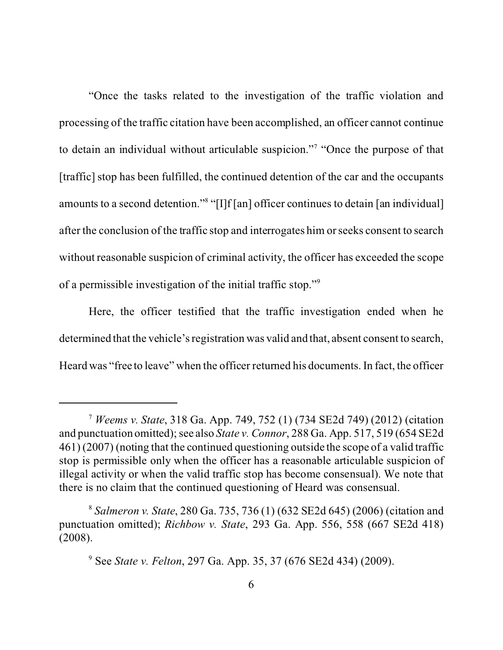"Once the tasks related to the investigation of the traffic violation and processing of the traffic citation have been accomplished, an officer cannot continue to detain an individual without articulable suspicion."<sup>7</sup> "Once the purpose of that [traffic] stop has been fulfilled, the continued detention of the car and the occupants amounts to a second detention."<sup>8</sup> "[I]f[an] officer continues to detain [an individual] after the conclusion of the traffic stop and interrogates him or seeks consent to search without reasonable suspicion of criminal activity, the officer has exceeded the scope of a permissible investigation of the initial traffic stop."<sup>9</sup>

Here, the officer testified that the traffic investigation ended when he determined that the vehicle's registration was valid and that, absent consent to search, Heard was "free to leave" when the officer returned his documents. In fact, the officer

<sup>7</sup> *Weems v. State*, 318 Ga. App. 749, 752 (1) (734 SE2d 749) (2012) (citation and punctuation omitted); see also *State v. Connor*, 288 Ga. App. 517, 519 (654 SE2d 461) (2007) (noting that the continued questioning outside the scope of a valid traffic stop is permissible only when the officer has a reasonable articulable suspicion of illegal activity or when the valid traffic stop has become consensual). We note that there is no claim that the continued questioning of Heard was consensual.

<sup>8</sup> *Salmeron v. State*, 280 Ga. 735, 736 (1) (632 SE2d 645) (2006) (citation and punctuation omitted); *Richbow v. State*, 293 Ga. App. 556, 558 (667 SE2d 418) (2008).

<sup>9</sup> See *State v. Felton*, 297 Ga. App. 35, 37 (676 SE2d 434) (2009).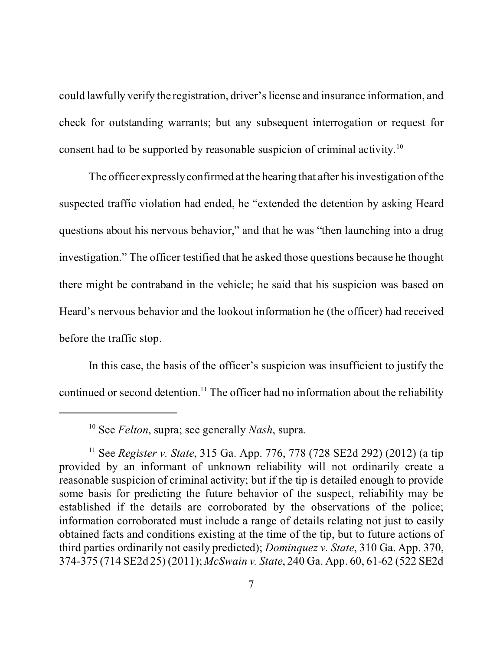could lawfully verify the registration, driver's license and insurance information, and check for outstanding warrants; but any subsequent interrogation or request for consent had to be supported by reasonable suspicion of criminal activity.<sup>10</sup>

The officer expressly confirmed at the hearing that after his investigation of the suspected traffic violation had ended, he "extended the detention by asking Heard questions about his nervous behavior," and that he was "then launching into a drug investigation." The officer testified that he asked those questions because he thought there might be contraband in the vehicle; he said that his suspicion was based on Heard's nervous behavior and the lookout information he (the officer) had received before the traffic stop.

In this case, the basis of the officer's suspicion was insufficient to justify the continued or second detention.<sup>11</sup> The officer had no information about the reliability

<sup>10</sup> See *Felton*, supra; see generally *Nash*, supra.

<sup>11</sup> See *Register v. State*, 315 Ga. App. 776, 778 (728 SE2d 292) (2012) (a tip provided by an informant of unknown reliability will not ordinarily create a reasonable suspicion of criminal activity; but if the tip is detailed enough to provide some basis for predicting the future behavior of the suspect, reliability may be established if the details are corroborated by the observations of the police; information corroborated must include a range of details relating not just to easily obtained facts and conditions existing at the time of the tip, but to future actions of third parties ordinarily not easily predicted); *Dominquez v. State*, 310 Ga. App. 370, 374-375 (714 SE2d 25) (2011); *McSwain v. State*, 240 Ga. App. 60, 61-62 (522 SE2d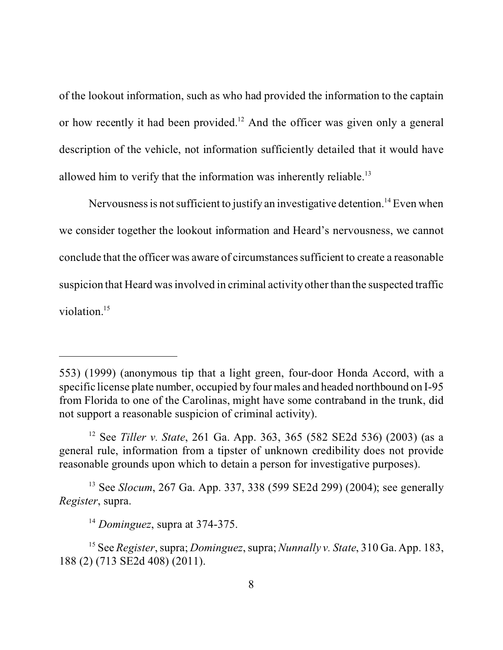of the lookout information, such as who had provided the information to the captain or how recently it had been provided.<sup>12</sup> And the officer was given only a general description of the vehicle, not information sufficiently detailed that it would have allowed him to verify that the information was inherently reliable.<sup>13</sup>

Nervousness is not sufficient to justify an investigative detention.<sup>14</sup> Even when we consider together the lookout information and Heard's nervousness, we cannot conclude that the officer was aware of circumstances sufficient to create a reasonable suspicion that Heard was involved in criminal activity other than the suspected traffic violation.<sup>15</sup>

<sup>553) (1999) (</sup>anonymous tip that a light green, four-door Honda Accord, with a specific license plate number, occupied by four males and headed northbound on I-95 from Florida to one of the Carolinas, might have some contraband in the trunk, did not support a reasonable suspicion of criminal activity).

<sup>12</sup> See *Tiller v. State*, 261 Ga. App. 363, 365 (582 SE2d 536) (2003) (as a general rule, information from a tipster of unknown credibility does not provide reasonable grounds upon which to detain a person for investigative purposes).

<sup>13</sup> See *Slocum*, 267 Ga. App. 337, 338 (599 SE2d 299) (2004); see generally *Register*, supra.

<sup>14</sup> *Dominguez*, supra at 374-375.

<sup>15</sup> See *Register*, supra; *Dominguez*, supra; *Nunnally v. State*, 310 Ga. App. 183, 188 (2) (713 SE2d 408) (2011).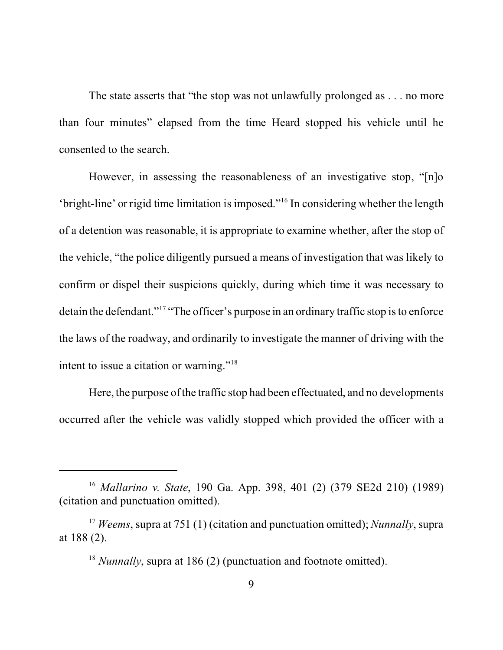The state asserts that "the stop was not unlawfully prolonged as . . . no more than four minutes" elapsed from the time Heard stopped his vehicle until he consented to the search.

However, in assessing the reasonableness of an investigative stop, "[n]o 'bright-line' or rigid time limitation is imposed."<sup>16</sup> In considering whether the length of a detention was reasonable, it is appropriate to examine whether, after the stop of the vehicle, "the police diligently pursued a means of investigation that was likely to confirm or dispel their suspicions quickly, during which time it was necessary to detain the defendant."<sup>17</sup> "The officer's purpose in an ordinary traffic stop is to enforce the laws of the roadway, and ordinarily to investigate the manner of driving with the intent to issue a citation or warning."<sup>18</sup>

Here, the purpose of the traffic stop had been effectuated, and no developments occurred after the vehicle was validly stopped which provided the officer with a

<sup>16</sup> *Mallarino v. State*, 190 Ga. App. 398, 401 (2) (379 SE2d 210) (1989) (citation and punctuation omitted).

<sup>17</sup> *Weems*, supra at 751 (1) (citation and punctuation omitted); *Nunnally*, supra at 188 (2).

<sup>&</sup>lt;sup>18</sup> *Nunnally*, supra at 186 (2) (punctuation and footnote omitted).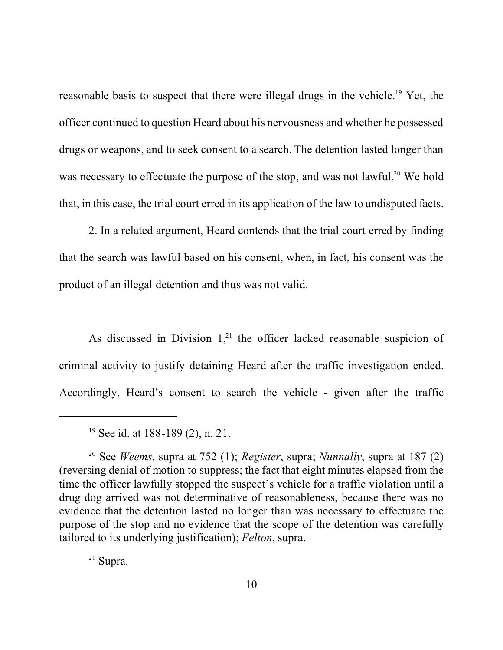reasonable basis to suspect that there were illegal drugs in the vehicle.<sup>19</sup> Yet, the officer continued to question Heard about his nervousness and whether he possessed drugs or weapons, and to seek consent to a search. The detention lasted longer than was necessary to effectuate the purpose of the stop, and was not lawful.<sup>20</sup> We hold that, in this case, the trial court erred in its application of the law to undisputed facts.

2. In a related argument, Heard contends that the trial court erred by finding that the search was lawful based on his consent, when, in fact, his consent was the product of an illegal detention and thus was not valid.

As discussed in Division  $1<sub>1</sub><sup>21</sup>$  the officer lacked reasonable suspicion of criminal activity to justify detaining Heard after the traffic investigation ended. Accordingly, Heard's consent to search the vehicle - given after the traffic

<sup>21</sup> Supra.

<sup>19</sup> See id. at 188-189 (2), n. 21.

<sup>20</sup> See *Weems*, supra at 752 (1); *Register*, supra; *Nunnally*, supra at 187 (2) (reversing denial of motion to suppress; the fact that eight minutes elapsed from the time the officer lawfully stopped the suspect's vehicle for a traffic violation until a drug dog arrived was not determinative of reasonableness, because there was no evidence that the detention lasted no longer than was necessary to effectuate the purpose of the stop and no evidence that the scope of the detention was carefully tailored to its underlying justification); *Felton*, supra.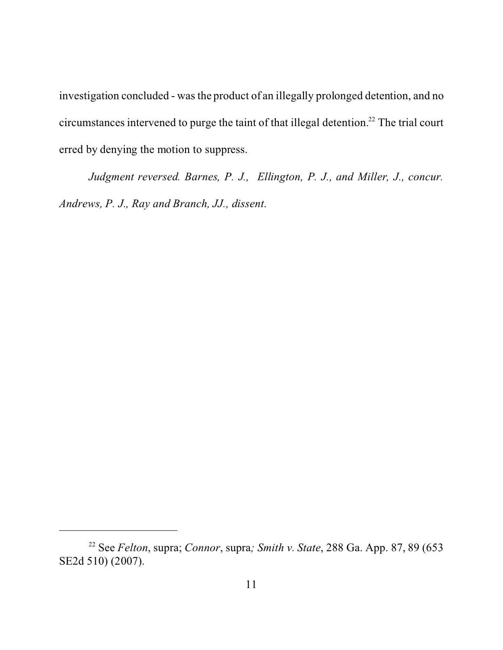investigation concluded - was the product of an illegally prolonged detention, and no circumstances intervened to purge the taint of that illegal detention.<sup>22</sup> The trial court erred by denying the motion to suppress.

*Judgment reversed. Barnes, P. J., Ellington, P. J., and Miller, J., concur. Andrews, P. J., Ray and Branch, JJ., dissent*.

<sup>22</sup> See *Felton*, supra; *Connor*, supra*; Smith v. State*, 288 Ga. App. 87, 89 (653 SE2d 510) (2007).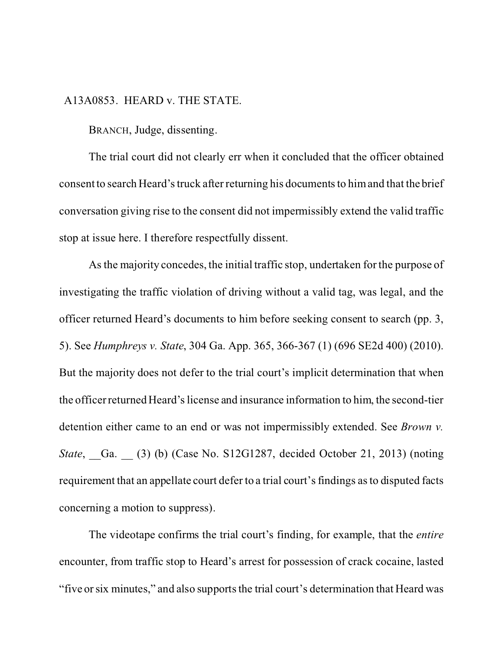## A13A0853. HEARD v. THE STATE.

BRANCH, Judge, dissenting.

The trial court did not clearly err when it concluded that the officer obtained consent to search Heard's truck after returning his documents to him and that the brief conversation giving rise to the consent did not impermissibly extend the valid traffic stop at issue here. I therefore respectfully dissent.

As the majority concedes, the initial traffic stop, undertaken for the purpose of investigating the traffic violation of driving without a valid tag, was legal, and the officer returned Heard's documents to him before seeking consent to search (pp. 3, 5). See *Humphreys v. State*, 304 Ga. App. 365, 366-367 (1) (696 SE2d 400) (2010). But the majority does not defer to the trial court's implicit determination that when the officer returned Heard's license and insurance information to him, the second-tier detention either came to an end or was not impermissibly extended. See *Brown v. State*, Ga. (3) (b) (Case No. S12G1287, decided October 21, 2013) (noting requirement that an appellate court defer to a trial court's findings as to disputed facts concerning a motion to suppress).

The videotape confirms the trial court's finding, for example, that the *entire* encounter, from traffic stop to Heard's arrest for possession of crack cocaine, lasted "five or six minutes," and also supports the trial court's determination that Heard was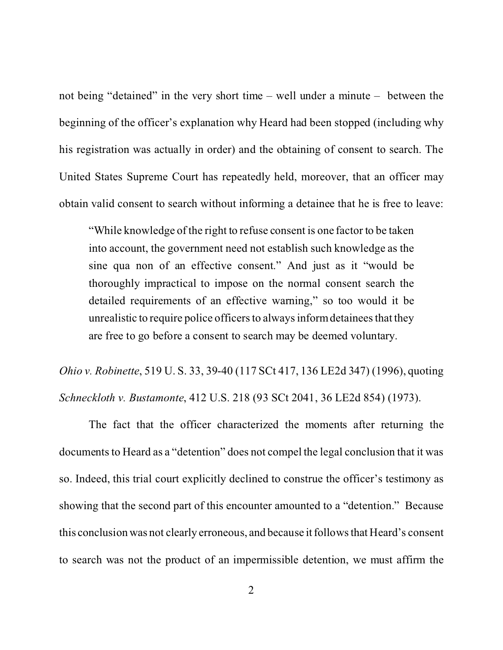not being "detained" in the very short time – well under a minute – between the beginning of the officer's explanation why Heard had been stopped (including why his registration was actually in order) and the obtaining of consent to search. The United States Supreme Court has repeatedly held, moreover, that an officer may obtain valid consent to search without informing a detainee that he is free to leave:

"While knowledge of the right to refuse consent is one factor to be taken into account, the government need not establish such knowledge as the sine qua non of an effective consent." And just as it "would be thoroughly impractical to impose on the normal consent search the detailed requirements of an effective warning," so too would it be unrealistic to require police officers to always inform detainees that they are free to go before a consent to search may be deemed voluntary.

*Ohio v. Robinette*, 519 U. S. 33, 39-40 (117 SCt 417, 136 LE2d 347) (1996), quoting *Schneckloth v. Bustamonte*, 412 U.S. 218 (93 SCt 2041, 36 LE2d 854) (1973).

The fact that the officer characterized the moments after returning the documents to Heard as a "detention" does not compel the legal conclusion that it was so. Indeed, this trial court explicitly declined to construe the officer's testimony as showing that the second part of this encounter amounted to a "detention." Because this conclusion was not clearly erroneous, and because it follows that Heard's consent to search was not the product of an impermissible detention, we must affirm the